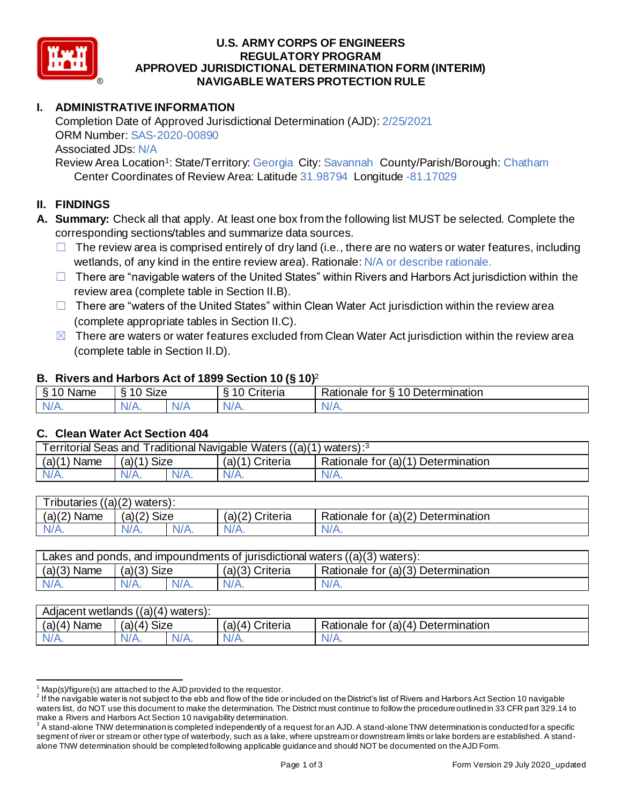

#### **U.S. ARMY CORPS OF ENGINEERS APPROVED JURISDICTIONAL DETERMINATION FORM (INTERIM) NAVIGABLE WATERS PROTECTION RULE REGULATORY PROGRAM**

# **I. ADMINISTRATIVE INFORMATION**

 Completion Date of Approved Jurisdictional Determination (AJD): 2/25/2021 ORM Number: SAS-2020-00890 Associated JDs: N/A

Review Area Location<sup>1</sup>: State/Territory: Georgia City: Savannah County/Parish/Borough: Chatham Center Coordinates of Review Area: Latitude 31.98794 Longitude -81.17029

# **II. FINDINGS**

- **A. Summary:** Check all that apply. At least one box from the following list MUST be selected. Complete the corresponding sections/tables and summarize data sources.
	- $\Box$  The review area is comprised entirely of dry land (i.e., there are no waters or water features, including wetlands, of any kind in the entire review area). Rationale: N/A or describe rationale.
	- □ There are "navigable waters of the United States" within Rivers and Harbors Act jurisdiction within the review area (complete table in Section II.B).
	- □ There are "waters of the United States" within Clean Water Act jurisdiction within the review area (complete appropriate tables in Section II.C).
	- $\boxtimes$  There are waters or water features excluded from Clean Water Act jurisdiction within the review area (complete table in Section II.D).

## **B. Rivers and Harbors Act of 1899 Section 10 (§ 10)**<sup>2</sup>

|                     |                                        |     | $\cdot$            |                                           |
|---------------------|----------------------------------------|-----|--------------------|-------------------------------------------|
| ደ 1 በ<br>Name       | $\sim$ $\sim$ $\sim$<br>$\sim$<br>ט∠וכ |     | ∶rıteria           | 10 Determination<br>Rationale<br>tor<br>↷ |
| N/L<br>$\mathbf{N}$ | $1/\Lambda$<br>V/A.                    | V/t | N.<br>$\mathbf{v}$ | N.<br>11 L L                              |
|                     |                                        |     |                    |                                           |

## **C. Clean Water Act Section 404**

| Territorial Seas and Traditional Navigable Waters ((a)(1) waters): <sup>3</sup> |               |  |                 |                                    |  |
|---------------------------------------------------------------------------------|---------------|--|-----------------|------------------------------------|--|
| $(a)(1)$ Name                                                                   | $(a)(1)$ Size |  | (a)(1) Criteria | Rationale for (a)(1) Determination |  |
| $N/A$ .                                                                         | $N/A$ .       |  | $N/A$ .         | N/A.                               |  |
|                                                                                 |               |  |                 |                                    |  |

| <b>Tributaries</b><br>$s((a)(2)$ waters): |                |         |                    |                                    |  |
|-------------------------------------------|----------------|---------|--------------------|------------------------------------|--|
| (a)(2)<br>Name                            | Size<br>(a)(2) |         | Criteria<br>(a)(2) | Rationale for (a)(2) Determination |  |
| $N/A$ .                                   | $N/A$ .        | $N/A$ . | $N/A$ .            | ٧A.                                |  |
|                                           |                |         |                    |                                    |  |

| Lakes and ponds, and impoundments of jurisdictional waters $((a)(3)$ waters): |               |         |                 |                                    |
|-------------------------------------------------------------------------------|---------------|---------|-----------------|------------------------------------|
| $(a)(3)$ Name                                                                 | $(a)(3)$ Size |         | (a)(3) Criteria | Rationale for (a)(3) Determination |
| $N/A$ .                                                                       | $N/A$ .       | $N/A$ . | $N/A$ .         | $N/A$ .                            |

| $(a)(4)$ Name<br>Size<br>$(a)(4)$ Criteria<br>Rationale for (a)(4) Determination<br>(4)<br>(a) | Adjacent wetlands $((a)(4)$ waters): |         |         |         |  |  |
|------------------------------------------------------------------------------------------------|--------------------------------------|---------|---------|---------|--|--|
|                                                                                                |                                      |         |         |         |  |  |
| 'N/A.                                                                                          |                                      | $N/A$ . | $N/A$ . | $N/A$ . |  |  |

 $1$  Map(s)/figure(s) are attached to the AJD provided to the requestor.

 $^2$  If the navigable water is not subject to the ebb and flow of the tide or included on the District's list of Rivers and Harbors Act Section 10 navigable waters list, do NOT use this document to make the determination. The District must continue to follow the procedure outlined in 33 CFR part 329.14 to make a Rivers and Harbors Act Section 10 navigability determination.

 $^3$  A stand-alone TNW determination is completed independently of a request for an AJD. A stand-alone TNW determination is conducted for a specific segment of river or stream or other type of waterbody, such as a lake, where upstream or downstream limits or lake borders are established. A stand-alone TNW determination should be completed following applicable guidance and should NOT be documented on the AJD Form.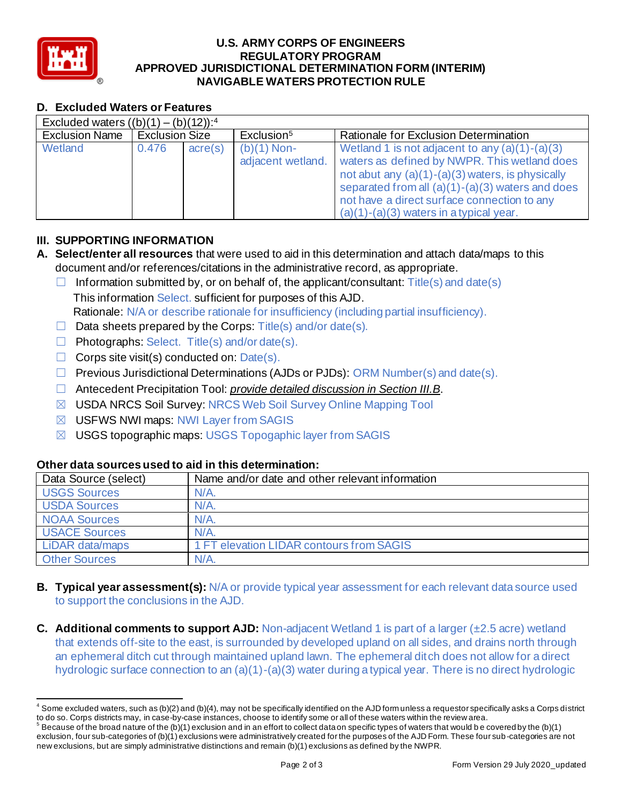

#### **U.S. ARMY CORPS OF ENGINEERS APPROVED JURISDICTIONAL DETERMINATION FORM (INTERIM) NAVIGABLE WATERS PROTECTION RULE REGULATORY PROGRAM**

# **D. Excluded Waters or Features**

| D. Excluded Waters or Features                      |                       |         |                                    |                                                                                                                                                                                                                                                                                                          |
|-----------------------------------------------------|-----------------------|---------|------------------------------------|----------------------------------------------------------------------------------------------------------------------------------------------------------------------------------------------------------------------------------------------------------------------------------------------------------|
| Excluded waters $((b)(1) - (b)(12))$ : <sup>4</sup> |                       |         |                                    |                                                                                                                                                                                                                                                                                                          |
| <b>Exclusion Name</b>                               | <b>Exclusion Size</b> |         | Exclusion <sup>5</sup>             | Rationale for Exclusion Determination                                                                                                                                                                                                                                                                    |
| Wetland                                             | 0.476                 | acre(s) | $(b)(1)$ Non-<br>adjacent wetland. | Wetland 1 is not adjacent to any $(a)(1)-(a)(3)$<br>waters as defined by NWPR. This wetland does<br>not abut any $(a)(1)-(a)(3)$ waters, is physically<br>separated from all $(a)(1)-(a)(3)$ waters and does<br>not have a direct surface connection to any<br>$(a)(1)-(a)(3)$ waters in a typical year. |

# **III. SUPPORTING INFORMATION**

- **A. Select/enter all resources** that were used to aid in this determination and attach data/maps to this document and/or references/citations in the administrative record, as appropriate.
	- $\Box$  Information submitted by, or on behalf of, the applicant/consultant: Title(s) and date(s) This information Select. sufficient for purposes of this AJD. Rationale: N/A or describe rationale for insufficiency (including partial insufficiency).
	- $\Box$  Data sheets prepared by the Corps: Title(s) and/or date(s).
	- ☐ Photographs: Select. Title(s) and/or date(s).
	- $\Box$  Corps site visit(s) conducted on: Date(s).
	- ☐ Previous Jurisdictional Determinations (AJDs or PJDs): ORM Number(s) and date(s).
	- ☐ Antecedent Precipitation Tool: *provide detailed discussion in Section III.B*.
	- ☒ USDA NRCS Soil Survey: NRCS Web Soil Survey Online Mapping Tool
	- ☒ USFWS NWI maps: NWI Layer from SAGIS
	- ☒ USGS topographic maps: USGS Topogaphic layer from SAGIS

## **Other data sources used to aid in this determination:**

| Data Source (select) | Name and/or date and other relevant information |
|----------------------|-------------------------------------------------|
| <b>USGS Sources</b>  | $N/A$ .                                         |
| <b>USDA Sources</b>  | $N/A$ .                                         |
| <b>NOAA Sources</b>  | $N/A$ .                                         |
| <b>USACE Sources</b> | $N/A$ .                                         |
| LiDAR data/maps      | 1 FT elevation LIDAR contours from SAGIS        |
| <b>Other Sources</b> | $N/A$ .                                         |

- **B. Typical year assessment(s):** N/A or provide typical year assessment for each relevant data source used to support the conclusions in the AJD.
- **C.** Additional comments to support AJD: Non-adjacent Wetland 1 is part of a larger (±2.5 acre) wetland that extends off-site to the east, is surrounded by developed upland on all sides, and drains north through an ephemeral ditch cut through maintained upland lawn. The ephemeral ditch does not allow for a direct hydrologic surface connection to an (a)(1)-(a)(3) water during a typical year. There is no direct hydrologic

 $^4$  Some excluded waters, such as (b)(2) and (b)(4), may not be specifically identified on the AJD form unless a requestor specifically asks a Corps district to do so. Corps districts may, in case-by-case instances, choose to identify some or all of these waters within the review area.

to do so. Corps districts may, in case-by-case instances, choose to identify some or all of these waters within the review area.<br><sup>5</sup> Because of the broad nature of the (b)(1) exclusion and in an effort to collect dataon sp exclusion, four sub-categories of (b)(1) exclusions were administratively created for the purposes of the AJD Form. These four sub -categories are not new exclusions, but are simply administrative distinctions and remain (b)(1) exclusions as defined by the NWPR.